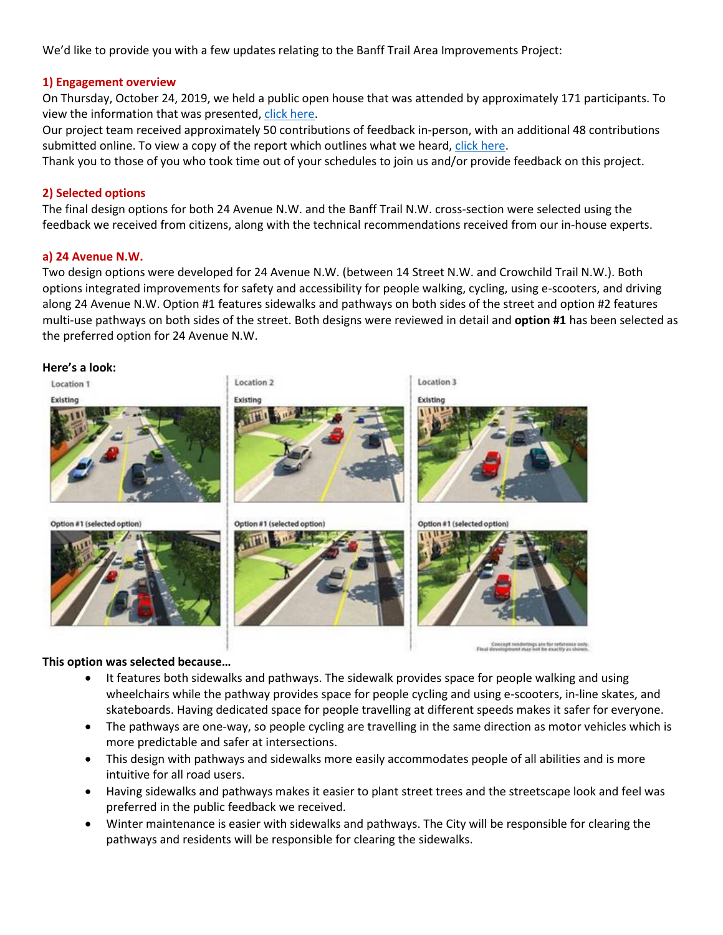We'd like to provide you with a few updates relating to the Banff Trail Area Improvements Project:

### **1) Engagement overview**

On Thursday, October 24, 2019, we held a public open house that was attended by approximately 171 participants. To view the information that was presented, [click here.](https://www.calgary.ca/Transportation/TI/Documents/Road-projects/BTAI-Full-Presentation-Boards-October-24-2019.pdf)

Our project team received approximately 50 contributions of feedback in-person, with an additional 48 contributions submitted online. To view a copy of the report which outlines what we heard[, click here.](https://www.calgary.ca/Transportation/TI/Documents/Road-projects/BTAI-WWH-Report-Oct-2019.pdf)

Thank you to those of you who took time out of your schedules to join us and/or provide feedback on this project.

#### **2) Selected options**

The final design options for both 24 Avenue N.W. and the Banff Trail N.W. cross-section were selected using the feedback we received from citizens, along with the technical recommendations received from our in-house experts.

#### **a) 24 Avenue N.W.**

Two design options were developed for 24 Avenue N.W. (between 14 Street N.W. and Crowchild Trail N.W.). Both options integrated improvements for safety and accessibility for people walking, cycling, using e-scooters, and driving along 24 Avenue N.W. Option #1 features sidewalks and pathways on both sides of the street and option #2 features multi-use pathways on both sides of the street. Both designs were reviewed in detail and **option #1** has been selected as the preferred option for 24 Avenue N.W.

#### **Here's a look:**



#### **This option was selected because…**

• It features both sidewalks and pathways. The sidewalk provides space for people walking and using wheelchairs while the pathway provides space for people cycling and using e-scooters, in-line skates, and skateboards. Having dedicated space for people travelling at different speeds makes it safer for everyone.

Concept renderings are for reference only.<br>Final development may not be exactly as shown.

- The pathways are one-way, so people cycling are travelling in the same direction as motor vehicles which is more predictable and safer at intersections.
- This design with pathways and sidewalks more easily accommodates people of all abilities and is more intuitive for all road users.
- Having sidewalks and pathways makes it easier to plant street trees and the streetscape look and feel was preferred in the public feedback we received.
- Winter maintenance is easier with sidewalks and pathways. The City will be responsible for clearing the pathways and residents will be responsible for clearing the sidewalks.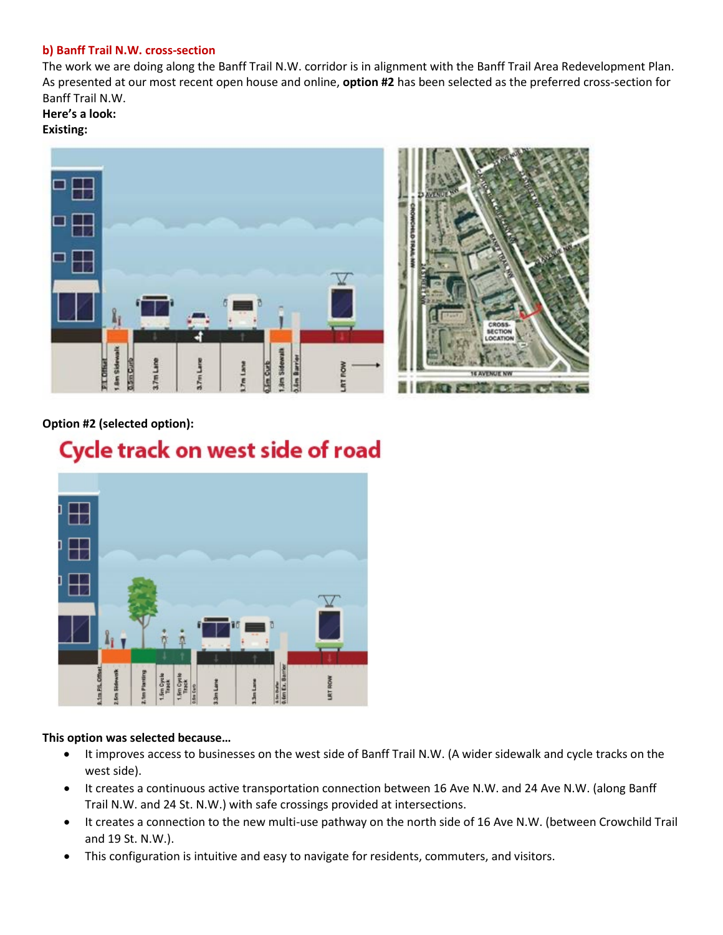## **b) Banff Trail N.W. cross-section**

The work we are doing along the Banff Trail N.W. corridor is in alignment with the Banff Trail Area Redevelopment Plan. As presented at our most recent open house and online, **option #2** has been selected as the preferred cross-section for Banff Trail N.W.

**Here's a look:**

## **Existing:**



# **Option #2 (selected option):**

# Cycle track on west side of road



## **This option was selected because…**

- It improves access to businesses on the west side of Banff Trail N.W. (A wider sidewalk and cycle tracks on the west side).
- It creates a continuous active transportation connection between 16 Ave N.W. and 24 Ave N.W. (along Banff Trail N.W. and 24 St. N.W.) with safe crossings provided at intersections.
- It creates a connection to the new multi-use pathway on the north side of 16 Ave N.W. (between Crowchild Trail and 19 St. N.W.).
- This configuration is intuitive and easy to navigate for residents, commuters, and visitors.